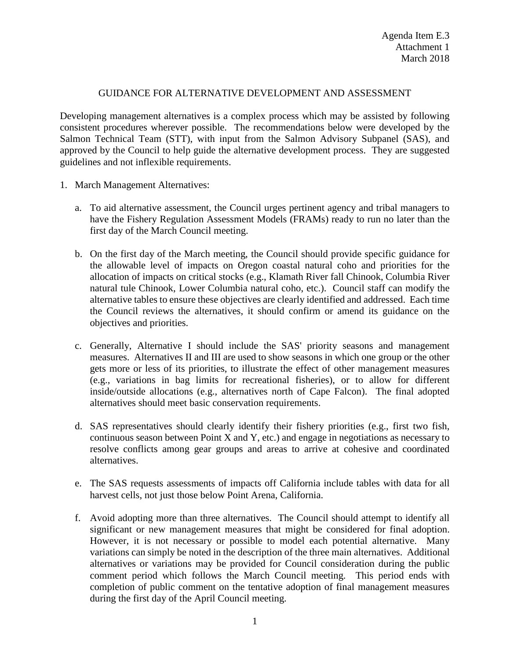## GUIDANCE FOR ALTERNATIVE DEVELOPMENT AND ASSESSMENT

Developing management alternatives is a complex process which may be assisted by following consistent procedures wherever possible. The recommendations below were developed by the Salmon Technical Team (STT), with input from the Salmon Advisory Subpanel (SAS), and approved by the Council to help guide the alternative development process. They are suggested guidelines and not inflexible requirements.

- 1. March Management Alternatives:
	- a. To aid alternative assessment, the Council urges pertinent agency and tribal managers to have the Fishery Regulation Assessment Models (FRAMs) ready to run no later than the first day of the March Council meeting.
	- b. On the first day of the March meeting, the Council should provide specific guidance for the allowable level of impacts on Oregon coastal natural coho and priorities for the allocation of impacts on critical stocks (e.g., Klamath River fall Chinook, Columbia River natural tule Chinook, Lower Columbia natural coho, etc.). Council staff can modify the alternative tables to ensure these objectives are clearly identified and addressed. Each time the Council reviews the alternatives, it should confirm or amend its guidance on the objectives and priorities.
	- c. Generally, Alternative I should include the SAS' priority seasons and management measures. Alternatives II and III are used to show seasons in which one group or the other gets more or less of its priorities, to illustrate the effect of other management measures (e.g., variations in bag limits for recreational fisheries), or to allow for different inside/outside allocations (e.g., alternatives north of Cape Falcon). The final adopted alternatives should meet basic conservation requirements.
	- d. SAS representatives should clearly identify their fishery priorities (e.g., first two fish, continuous season between Point X and Y, etc.) and engage in negotiations as necessary to resolve conflicts among gear groups and areas to arrive at cohesive and coordinated alternatives.
	- e. The SAS requests assessments of impacts off California include tables with data for all harvest cells, not just those below Point Arena, California.
	- f. Avoid adopting more than three alternatives. The Council should attempt to identify all significant or new management measures that might be considered for final adoption. However, it is not necessary or possible to model each potential alternative. Many variations can simply be noted in the description of the three main alternatives. Additional alternatives or variations may be provided for Council consideration during the public comment period which follows the March Council meeting. This period ends with completion of public comment on the tentative adoption of final management measures during the first day of the April Council meeting.